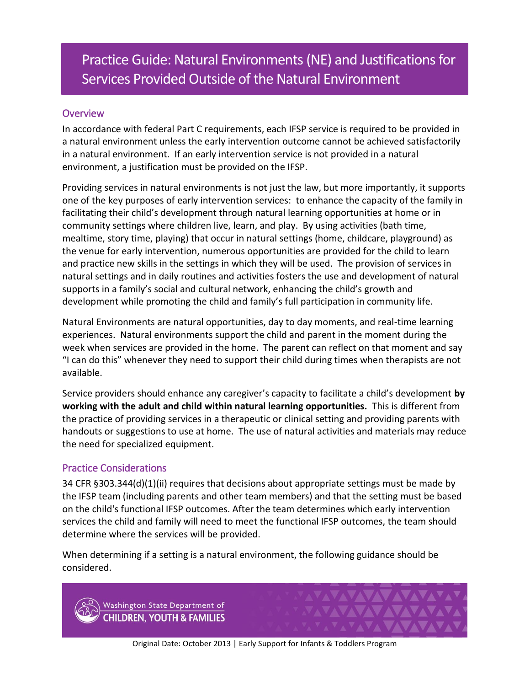# Practice Guide: Natural Environments (NE) and Justifications for Services Provided Outside of the Natural Environment

# **Overview**

In accordance with federal Part C requirements, each IFSP service is required to be provided in a natural environment unless the early intervention outcome cannot be achieved satisfactorily in a natural environment. If an early intervention service is not provided in a natural environment, a justification must be provided on the IFSP.

Providing services in natural environments is not just the law, but more importantly, it supports one of the key purposes of early intervention services: to enhance the capacity of the family in facilitating their child's development through natural learning opportunities at home or in community settings where children live, learn, and play. By using activities (bath time, mealtime, story time, playing) that occur in natural settings (home, childcare, playground) as the venue for early intervention, numerous opportunities are provided for the child to learn and practice new skills in the settings in which they will be used. The provision of services in natural settings and in daily routines and activities fosters the use and development of natural supports in a family's social and cultural network, enhancing the child's growth and development while promoting the child and family's full participation in community life.

Natural Environments are natural opportunities, day to day moments, and real-time learning experiences. Natural environments support the child and parent in the moment during the week when services are provided in the home. The parent can reflect on that moment and say "I can do this" whenever they need to support their child during times when therapists are not available.

Service providers should enhance any caregiver's capacity to facilitate a child's development **by working with the adult and child within natural learning opportunities.** This is different from the practice of providing services in a therapeutic or clinical setting and providing parents with handouts or suggestions to use at home. The use of natural activities and materials may reduce the need for specialized equipment.

# Practice Considerations

34 CFR §303.344(d)(1)(ii) requires that decisions about appropriate settings must be made by the IFSP team (including parents and other team members) and that the setting must be based on the child's functional IFSP outcomes. After the team determines which early intervention services the child and family will need to meet the functional IFSP outcomes, the team should determine where the services will be provided.

When determining if a setting is a natural environment, the following guidance should be considered.

Washington State Department of **CHILDREN, YOUTH & FAMILIES** 

Original Date: October 2013 | Early Support for Infants & Toddlers Program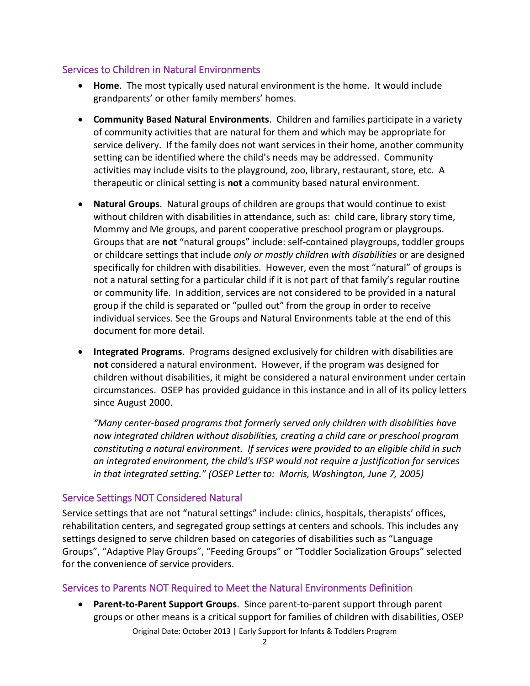## Services to Children in Natural Environments

- **Home**. The most typically used natural environment is the home. It would include grandparents' or other family members' homes.
- **Community Based Natural Environments**. Children and families participate in a variety of community activities that are natural for them and which may be appropriate for service delivery. If the family does not want services in their home, another community setting can be identified where the child's needs may be addressed. Community activities may include visits to the playground, zoo, library, restaurant, store, etc. A therapeutic or clinical setting is **not** a community based natural environment.
- **Natural Groups**.Natural groups of children are groups that would continue to exist without children with disabilities in attendance, such as: child care, library story time, Mommy and Me groups, and parent cooperative preschool program or playgroups. Groups that are **not** "natural groups" include: self-contained playgroups, toddler groups or childcare settings that include *only or mostly children with disabilities* or are designed specifically for children with disabilities. However, even the most "natural" of groups is not a natural setting for a particular child if it is not part of that family's regular routine or community life. In addition, services are not considered to be provided in a natural group if the child is separated or "pulled out" from the group in order to receive individual services. See the Groups and Natural Environments table at the end of this document for more detail.
- **Integrated Programs**.Programs designed exclusively for children with disabilities are **not** considered a natural environment. However, if the program was designed for children without disabilities, it might be considered a natural environment under certain circumstances. OSEP has provided guidance in this instance and in all of its policy letters since August 2000.

*"Many center-based programs that formerly served only children with disabilities have now integrated children without disabilities, creating a child care or preschool program constituting a natural environment. If services were provided to an eligible child in such an integrated environment, the child's IFSP would not require a justification for services in that integrated setting." (OSEP Letter to: Morris, Washington, June 7, 2005)* 

# Service Settings NOT Considered Natural

Service settings that are not "natural settings" include: clinics, hospitals, therapists' offices, rehabilitation centers, and segregated group settings at centers and schools. This includes any settings designed to serve children based on categories of disabilities such as "Language Groups", "Adaptive Play Groups", "Feeding Groups" or "Toddler Socialization Groups" selected for the convenience of service providers.

# Services to Parents NOT Required to Meet the Natural Environments Definition

Original Date: October 2013 | Early Support for Infants & Toddlers Program **Parent-to-Parent Support Groups**.Since parent-to-parent support through parent groups or other means is a critical support for families of children with disabilities, OSEP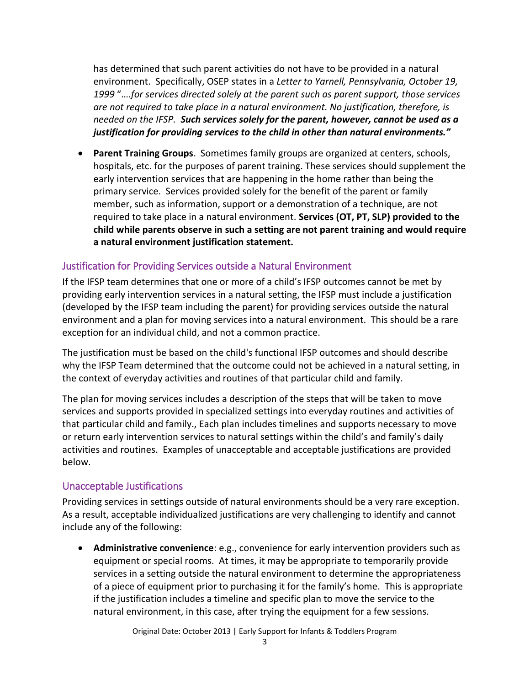has determined that such parent activities do not have to be provided in a natural environment. Specifically, OSEP states in a *Letter to Yarnell, Pennsylvania, October 19, 1999* "….*for services directed solely at the parent such as parent support, those services are not required to take place in a natural environment. No justification, therefore, is needed on the IFSP. Such services solely for the parent, however, cannot be used as a justification for providing services to the child in other than natural environments."*

 **Parent Training Groups**. Sometimes family groups are organized at centers, schools, hospitals, etc. for the purposes of parent training. These services should supplement the early intervention services that are happening in the home rather than being the primary service. Services provided solely for the benefit of the parent or family member, such as information, support or a demonstration of a technique, are not required to take place in a natural environment. **Services (OT, PT, SLP) provided to the child while parents observe in such a setting are not parent training and would require a natural environment justification statement.**

# Justification for Providing Services outside a Natural Environment

If the IFSP team determines that one or more of a child's IFSP outcomes cannot be met by providing early intervention services in a natural setting, the IFSP must include a justification (developed by the IFSP team including the parent) for providing services outside the natural environment and a plan for moving services into a natural environment. This should be a rare exception for an individual child, and not a common practice.

The justification must be based on the child's functional IFSP outcomes and should describe why the IFSP Team determined that the outcome could not be achieved in a natural setting, in the context of everyday activities and routines of that particular child and family.

The plan for moving services includes a description of the steps that will be taken to move services and supports provided in specialized settings into everyday routines and activities of that particular child and family., Each plan includes timelines and supports necessary to move or return early intervention services to natural settings within the child's and family's daily activities and routines. Examples of unacceptable and acceptable justifications are provided below.

## Unacceptable Justifications

Providing services in settings outside of natural environments should be a very rare exception. As a result, acceptable individualized justifications are very challenging to identify and cannot include any of the following:

 **Administrative convenience**: e.g., convenience for early intervention providers such as equipment or special rooms. At times, it may be appropriate to temporarily provide services in a setting outside the natural environment to determine the appropriateness of a piece of equipment prior to purchasing it for the family's home. This is appropriate if the justification includes a timeline and specific plan to move the service to the natural environment, in this case, after trying the equipment for a few sessions.

Original Date: October 2013 | Early Support for Infants & Toddlers Program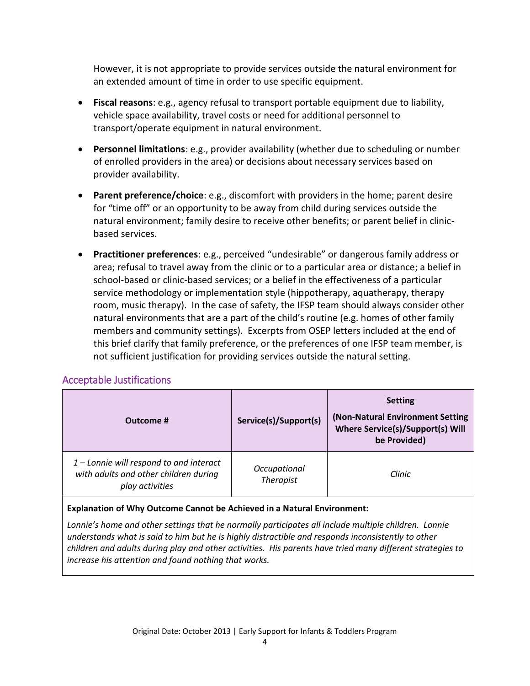However, it is not appropriate to provide services outside the natural environment for an extended amount of time in order to use specific equipment.

- **Fiscal reasons**: e.g., agency refusal to transport portable equipment due to liability, vehicle space availability, travel costs or need for additional personnel to transport/operate equipment in natural environment.
- **Personnel limitations**: e.g., provider availability (whether due to scheduling or number of enrolled providers in the area) or decisions about necessary services based on provider availability.
- **Parent preference/choice**: e.g., discomfort with providers in the home; parent desire for "time off" or an opportunity to be away from child during services outside the natural environment; family desire to receive other benefits; or parent belief in clinicbased services.
- **Practitioner preferences**: e.g., perceived "undesirable" or dangerous family address or area; refusal to travel away from the clinic or to a particular area or distance; a belief in school-based or clinic-based services; or a belief in the effectiveness of a particular service methodology or implementation style (hippotherapy, aquatherapy, therapy room, music therapy). In the case of safety, the IFSP team should always consider other natural environments that are a part of the child's routine (e.g. homes of other family members and community settings). Excerpts from OSEP letters included at the end of this brief clarify that family preference, or the preferences of one IFSP team member, is not sufficient justification for providing services outside the natural setting.

## Acceptable Justifications

| Outcome #                                                                                             | Service(s)/Support(s)            | <b>Setting</b><br>(Non-Natural Environment Setting<br>Where Service(s)/Support(s) Will<br>be Provided) |
|-------------------------------------------------------------------------------------------------------|----------------------------------|--------------------------------------------------------------------------------------------------------|
| $1$ – Lonnie will respond to and interact<br>with adults and other children during<br>play activities | Occupational<br><b>Therapist</b> | Clinic                                                                                                 |

#### **Explanation of Why Outcome Cannot be Achieved in a Natural Environment:**

*Lonnie's home and other settings that he normally participates all include multiple children. Lonnie understands what is said to him but he is highly distractible and responds inconsistently to other children and adults during play and other activities. His parents have tried many different strategies to increase his attention and found nothing that works.*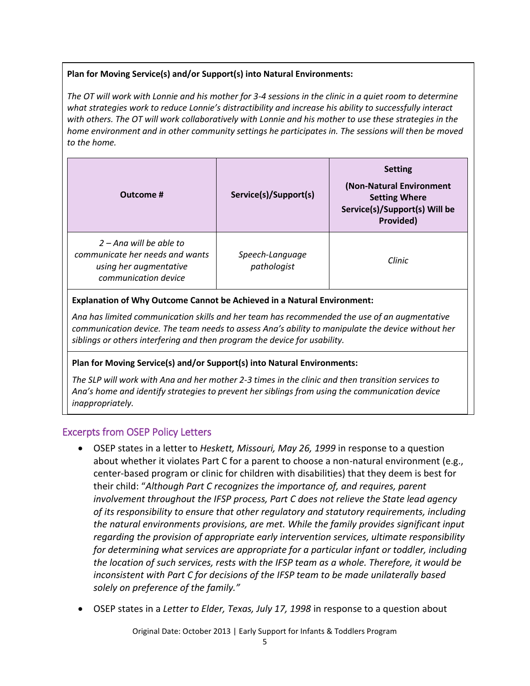## **Plan for Moving Service(s) and/or Support(s) into Natural Environments:**

*The OT will work with Lonnie and his mother for 3-4 sessions in the clinic in a quiet room to determine what strategies work to reduce Lonnie's distractibility and increase his ability to successfully interact with others. The OT will work collaboratively with Lonnie and his mother to use these strategies in the home environment and in other community settings he participates in. The sessions will then be moved to the home.*

| Outcome #                                                                                                      | Service(s)/Support(s)          | <b>Setting</b><br>(Non-Natural Environment<br><b>Setting Where</b><br>Service(s)/Support(s) Will be<br>Provided) |
|----------------------------------------------------------------------------------------------------------------|--------------------------------|------------------------------------------------------------------------------------------------------------------|
| $2 -$ Ana will be able to<br>communicate her needs and wants<br>using her augmentative<br>communication device | Speech-Language<br>pathologist | Clinic                                                                                                           |

#### **Explanation of Why Outcome Cannot be Achieved in a Natural Environment:**

*Ana has limited communication skills and her team has recommended the use of an augmentative communication device. The team needs to assess Ana's ability to manipulate the device without her siblings or others interfering and then program the device for usability.*

#### **Plan for Moving Service(s) and/or Support(s) into Natural Environments:**

*The SLP will work with Ana and her mother 2-3 times in the clinic and then transition services to Ana's home and identify strategies to prevent her siblings from using the communication device inappropriately.*

## Excerpts from OSEP Policy Letters

- OSEP states in a letter to *Heskett, Missouri, May 26, 1999* in response to a question about whether it violates Part C for a parent to choose a non-natural environment (e.g., center-based program or clinic for children with disabilities) that they deem is best for their child: "*Although Part C recognizes the importance of, and requires, parent involvement throughout the IFSP process, Part C does not relieve the State lead agency of its responsibility to ensure that other regulatory and statutory requirements, including the natural environments provisions, are met. While the family provides significant input regarding the provision of appropriate early intervention services, ultimate responsibility for determining what services are appropriate for a particular infant or toddler, including the location of such services, rests with the IFSP team as a whole. Therefore, it would be inconsistent with Part C for decisions of the IFSP team to be made unilaterally based solely on preference of the family."*
- OSEP states in a *Letter to Elder, Texas, July 17, 1998* in response to a question about

Original Date: October 2013 | Early Support for Infants & Toddlers Program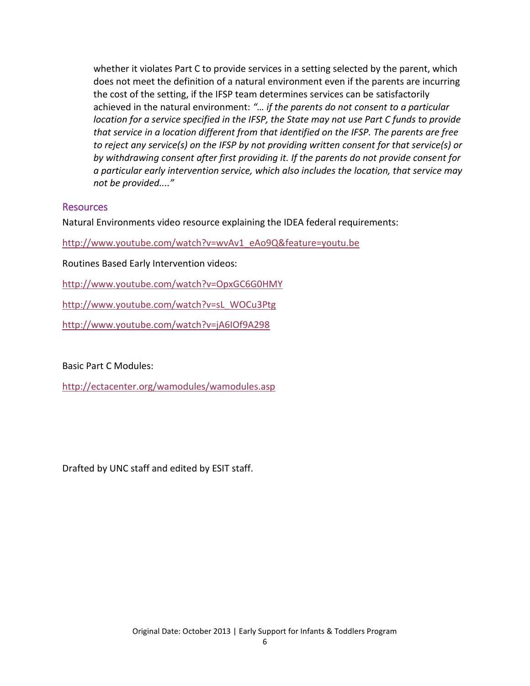whether it violates Part C to provide services in a setting selected by the parent, which does not meet the definition of a natural environment even if the parents are incurring the cost of the setting, if the IFSP team determines services can be satisfactorily achieved in the natural environment: *"… if the parents do not consent to a particular location for a service specified in the IFSP, the State may not use Part C funds to provide that service in a location different from that identified on the IFSP. The parents are free to reject any service(s) on the IFSP by not providing written consent for that service(s) or by withdrawing consent after first providing it. If the parents do not provide consent for a particular early intervention service, which also includes the location, that service may not be provided...."*

#### Resources

Natural Environments video resource explaining the IDEA federal requirements:

[http://www.youtube.com/watch?v=wvAv1\\_eAo9Q&feature=youtu.be](http://www.youtube.com/watch?v=wvAv1_eAo9Q&feature=youtu.be) 

Routines Based Early Intervention videos:

<http://www.youtube.com/watch?v=OpxGC6G0HMY>

[http://www.youtube.com/watch?v=sL\\_WOCu3Ptg](http://www.youtube.com/watch?v=sL_WOCu3Ptg)

<http://www.youtube.com/watch?v=jA6IOf9A298>

Basic Part C Modules:

<http://ectacenter.org/wamodules/wamodules.asp>

Drafted by UNC staff and edited by ESIT staff.